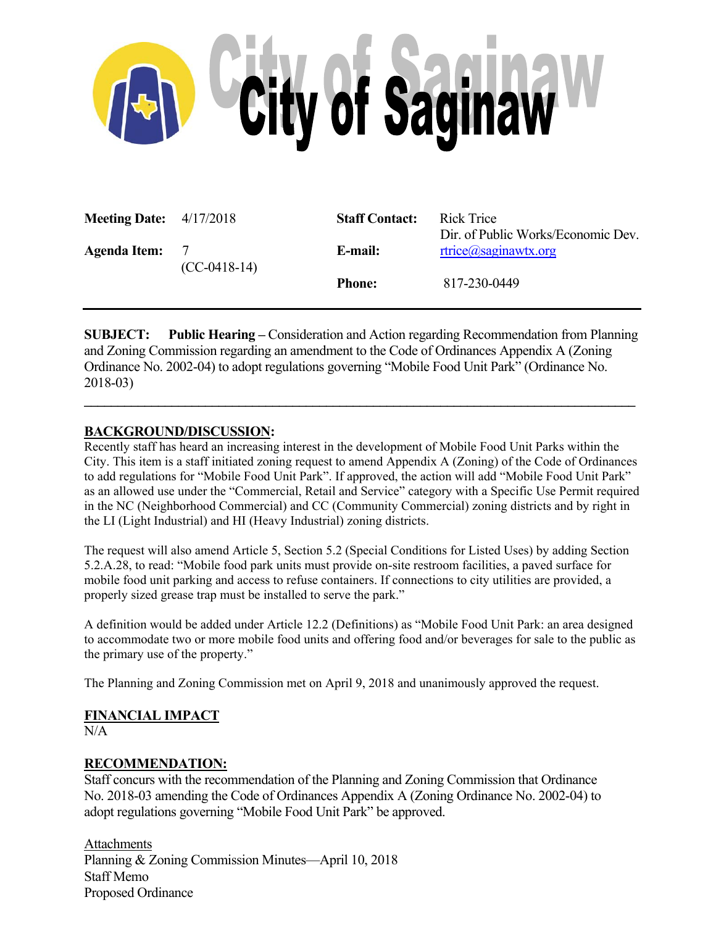

| <b>Meeting Date:</b> $4/17/2018$ |                | <b>Staff Contact:</b> | Rick Trice<br>Dir. of Public Works/Economic Dev. |  |  |  |  |  |
|----------------------------------|----------------|-----------------------|--------------------------------------------------|--|--|--|--|--|
| <b>Agenda Item:</b>              | $(CC-0418-14)$ | E-mail:               | $rtrice(\omega)$ saginawtx.org                   |  |  |  |  |  |
|                                  |                | <b>Phone:</b>         | 817-230-0449                                     |  |  |  |  |  |

**SUBJECT: Public Hearing –** Consideration and Action regarding Recommendation from Planning and Zoning Commission regarding an amendment to the Code of Ordinances Appendix A (Zoning Ordinance No. 2002-04) to adopt regulations governing "Mobile Food Unit Park" (Ordinance No. 2018-03)

**\_\_\_\_\_\_\_\_\_\_\_\_\_\_\_\_\_\_\_\_\_\_\_\_\_\_\_\_\_\_\_\_\_\_\_\_\_\_\_\_\_\_\_\_\_\_\_\_\_\_\_\_\_\_\_\_\_\_\_\_\_\_\_\_\_\_\_\_\_\_\_\_\_\_\_\_\_\_\_\_\_\_**

## **BACKGROUND/DISCUSSION:**

Recently staff has heard an increasing interest in the development of Mobile Food Unit Parks within the City. This item is a staff initiated zoning request to amend Appendix A (Zoning) of the Code of Ordinances to add regulations for "Mobile Food Unit Park". If approved, the action will add "Mobile Food Unit Park" as an allowed use under the "Commercial, Retail and Service" category with a Specific Use Permit required in the NC (Neighborhood Commercial) and CC (Community Commercial) zoning districts and by right in the LI (Light Industrial) and HI (Heavy Industrial) zoning districts.

The request will also amend Article 5, Section 5.2 (Special Conditions for Listed Uses) by adding Section 5.2.A.28, to read: "Mobile food park units must provide on-site restroom facilities, a paved surface for mobile food unit parking and access to refuse containers. If connections to city utilities are provided, a properly sized grease trap must be installed to serve the park."

A definition would be added under Article 12.2 (Definitions) as "Mobile Food Unit Park: an area designed to accommodate two or more mobile food units and offering food and/or beverages for sale to the public as the primary use of the property."

The Planning and Zoning Commission met on April 9, 2018 and unanimously approved the request.

# **FINANCIAL IMPACT**

 $N/A$ 

# **RECOMMENDATION:**

Staff concurs with the recommendation of the Planning and Zoning Commission that Ordinance No. 2018-03 amending the Code of Ordinances Appendix A (Zoning Ordinance No. 2002-04) to adopt regulations governing "Mobile Food Unit Park" be approved.

**Attachments** Planning & Zoning Commission Minutes—April 10, 2018 Staff Memo Proposed Ordinance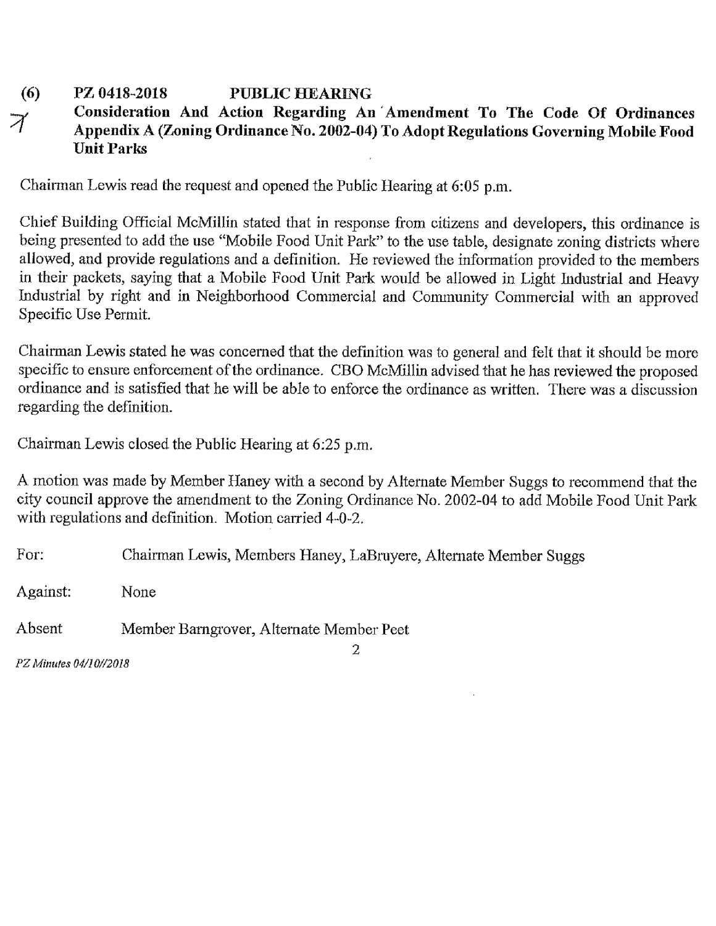#### PZ 0418-2018 PUBLIC HEARING  $(6)$

#### Consideration And Action Regarding An Amendment To The Code Of Ordinances  $\boldsymbol{\mathcal{X}}$ Appendix A (Zoning Ordinance No. 2002-04) To Adopt Regulations Governing Mobile Food **Unit Parks**

Chairman Lewis read the request and opened the Public Hearing at 6:05 p.m.

Chief Building Official McMillin stated that in response from citizens and developers, this ordinance is being presented to add the use "Mobile Food Unit Park" to the use table, designate zoning districts where allowed, and provide regulations and a definition. He reviewed the information provided to the members in their packets, saying that a Mobile Food Unit Park would be allowed in Light Industrial and Heavy Industrial by right and in Neighborhood Commercial and Community Commercial with an approved Specific Use Permit.

Chairman Lewis stated he was concerned that the definition was to general and felt that it should be more specific to ensure enforcement of the ordinance. CBO McMillin advised that he has reviewed the proposed ordinance and is satisfied that he will be able to enforce the ordinance as written. There was a discussion regarding the definition.

Chairman Lewis closed the Public Hearing at 6:25 p.m.

A motion was made by Member Haney with a second by Alternate Member Suggs to recommend that the city council approve the amendment to the Zoning Ordinance No. 2002-04 to add Mobile Food Unit Park with regulations and definition. Motion carried 4-0-2.

Chairman Lewis, Members Haney, LaBruyere, Alternate Member Suggs For: Against: None Absent Member Barngrover, Alternate Member Peet 2

PZ Minutes 04/10//2018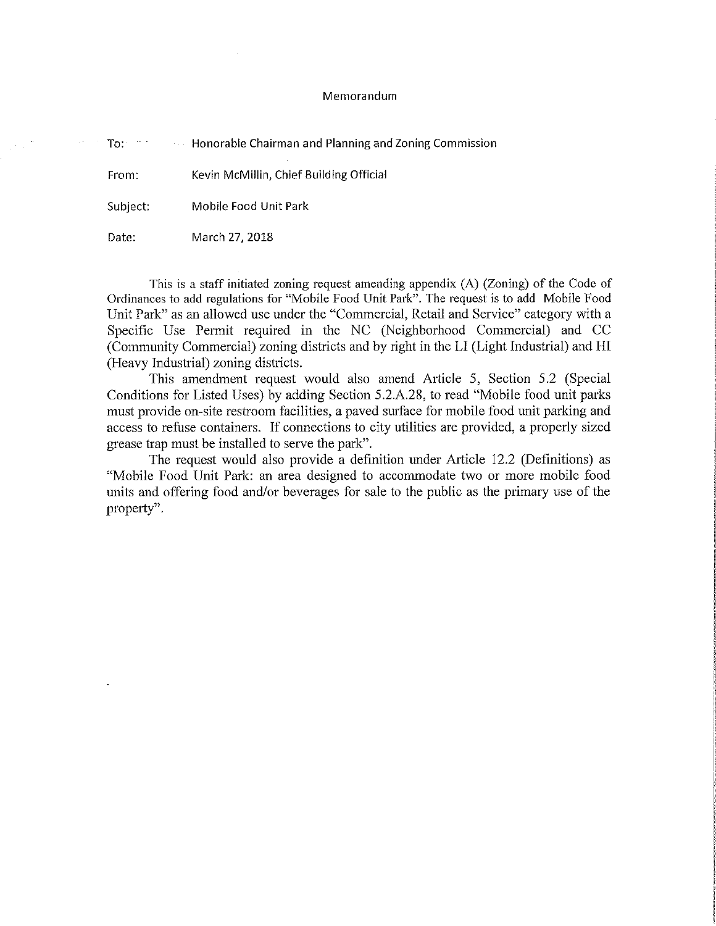#### Memorandum

**Example 10 Honorable Chairman and Planning and Zoning Commission** To:  $-$ 

Kevin McMillin, Chief Building Official From:

Mobile Food Unit Park Subject:

Date: March 27, 2018

This is a staff initiated zoning request amending appendix (A) (Zoning) of the Code of Ordinances to add regulations for "Mobile Food Unit Park". The request is to add Mobile Food Unit Park" as an allowed use under the "Commercial, Retail and Service" category with a Specific Use Permit required in the NC (Neighborhood Commercial) and CC (Community Commercial) zoning districts and by right in the LI (Light Industrial) and HI (Heavy Industrial) zoning districts.

This amendment request would also amend Article 5, Section 5.2 (Special Conditions for Listed Uses) by adding Section 5.2.A.28, to read "Mobile food unit parks must provide on-site restroom facilities, a paved surface for mobile food unit parking and access to refuse containers. If connections to city utilities are provided, a properly sized grease trap must be installed to serve the park".

The request would also provide a definition under Article 12.2 (Definitions) as "Mobile Food Unit Park: an area designed to accommodate two or more mobile food units and offering food and/or beverages for sale to the public as the primary use of the property".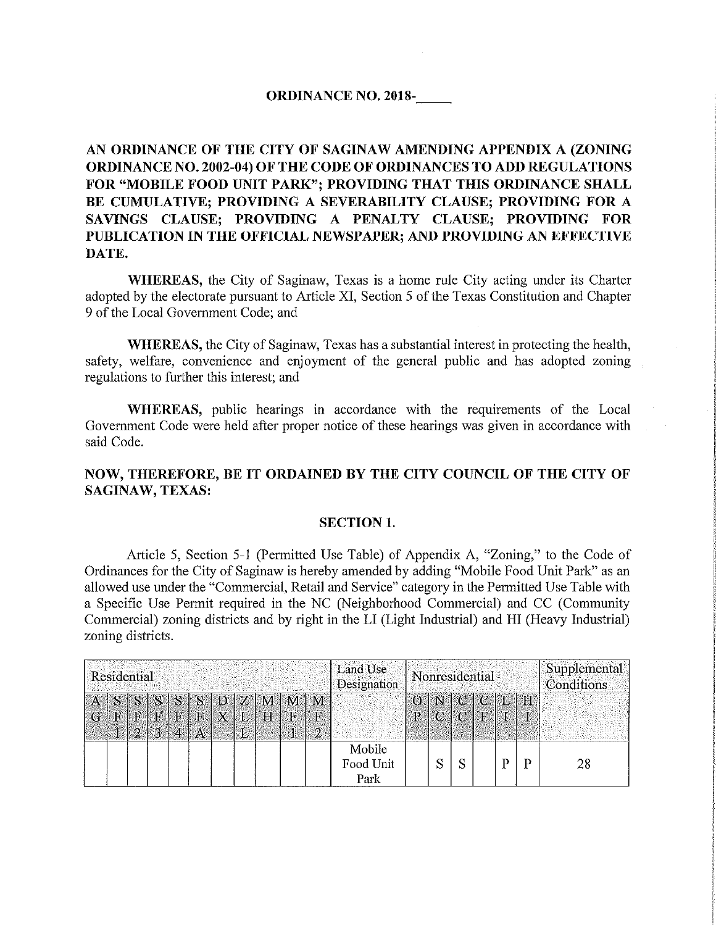#### **ORDINANCE NO. 2018-**

AN ORDINANCE OF THE CITY OF SAGINAW AMENDING APPENDIX A (ZONING ORDINANCE NO. 2002-04) OF THE CODE OF ORDINANCES TO ADD REGULATIONS FOR "MOBILE FOOD UNIT PARK"; PROVIDING THAT THIS ORDINANCE SHALL BE CUMULATIVE; PROVIDING A SEVERABILITY CLAUSE; PROVIDING FOR A SAVINGS CLAUSE; PROVIDING A PENALTY CLAUSE; PROVIDING FOR PUBLICATION IN THE OFFICIAL NEWSPAPER; AND PROVIDING AN EFFECTIVE DATE.

**WHEREAS**, the City of Saginaw, Texas is a home rule City acting under its Charter adopted by the electorate pursuant to Article XI, Section 5 of the Texas Constitution and Chapter 9 of the Local Government Code; and

**WHEREAS**, the City of Saginaw, Texas has a substantial interest in protecting the health, safety, welfare, convenience and enjoyment of the general public and has adopted zoning regulations to further this interest; and

WHEREAS, public hearings in accordance with the requirements of the Local Government Code were held after proper notice of these hearings was given in accordance with said Code.

#### NOW, THEREFORE, BE IT ORDAINED BY THE CITY COUNCIL OF THE CITY OF **SAGINAW, TEXAS:**

#### **SECTION 1.**

Article 5, Section 5-1 (Permitted Use Table) of Appendix A, "Zoning," to the Code of Ordinances for the City of Saginaw is hereby amended by adding "Mobile Food Unit Park" as an allowed use under the "Commercial, Retail and Service" category in the Permitted Use Table with a Specific Use Permit required in the NC (Neighborhood Commercial) and CC (Community Commercial) zoning districts and by right in the LI (Light Industrial) and HI (Heavy Industrial) zoning districts.

| Residential |  |   |    |   |         |  | <b>Land Use</b><br>Designation | Nonresidential |                                |                     |                             |  |                            | Supplemental<br>Conditions |             |  |  |    |
|-------------|--|---|----|---|---------|--|--------------------------------|----------------|--------------------------------|---------------------|-----------------------------|--|----------------------------|----------------------------|-------------|--|--|----|
|             |  | 漘 | ार | 編 | Ŧ.<br>A |  | 3L.                            | TH.            | $S$ $D$ $Z$ $M$ $M$ $M$<br>ÆГ, | Ē<br>$\overline{2}$ |                             |  | $\mathcal{A}(\mathcal{C})$ | C F                        | $C$ C $L$ H |  |  |    |
|             |  |   |    |   |         |  |                                |                |                                |                     | Mobile<br>Food Unit<br>Park |  |                            |                            |             |  |  | 28 |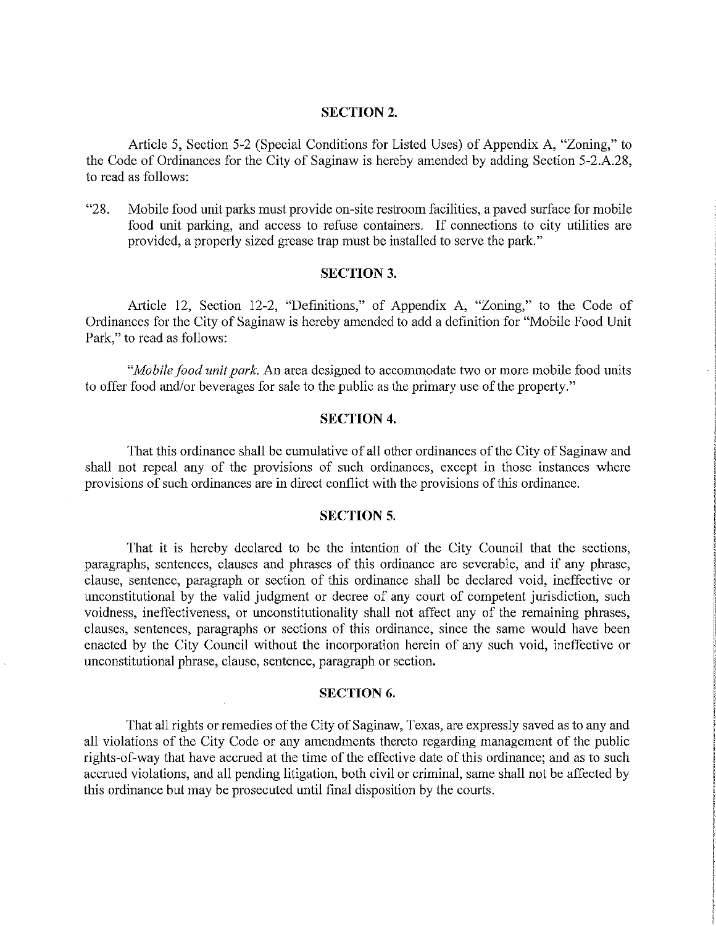#### **SECTION 2.**

Article 5, Section 5-2 (Special Conditions for Listed Uses) of Appendix A, "Zoning," to the Code of Ordinances for the City of Saginaw is hereby amended by adding Section 5-2.A.28, to read as follows:

 $428.$ Mobile food unit parks must provide on-site restroom facilities, a paved surface for mobile food unit parking, and access to refuse containers. If connections to city utilities are provided, a properly sized grease trap must be installed to serve the park,"

#### **SECTION 3.**

Article 12, Section 12-2, "Definitions," of Appendix A, "Zoning," to the Code of Ordinances for the City of Saginaw is hereby amended to add a definition for "Mobile Food Unit" Park," to read as follows:

"Mobile food unit park. An area designed to accommodate two or more mobile food units to offer food and/or beverages for sale to the public as the primary use of the property."

### **SECTION 4.**

That this ordinance shall be cumulative of all other ordinances of the City of Saginaw and shall not repeal any of the provisions of such ordinances, except in those instances where provisions of such ordinances are in direct conflict with the provisions of this ordinance.

#### **SECTION 5.**

That it is hereby declared to be the intention of the City Council that the sections, paragraphs, sentences, clauses and phrases of this ordinance are severable, and if any phrase, clause, sentence, paragraph or section of this ordinance shall be declared void, ineffective or unconstitutional by the valid judgment or decree of any court of competent jurisdiction, such voidness, ineffectiveness, or unconstitutionality shall not affect any of the remaining phrases, clauses, sentences, paragraphs or sections of this ordinance, since the same would have been enacted by the City Council without the incorporation herein of any such void, ineffective or unconstitutional phrase, clause, sentence, paragraph or section.

#### **SECTION 6.**

That all rights or remedies of the City of Saginaw, Texas, are expressly saved as to any and all violations of the City Code or any amendments thereto regarding management of the public rights-of-way that have accrued at the time of the effective date of this ordinance; and as to such accrued violations, and all pending litigation, both civil or criminal, same shall not be affected by this ordinance but may be prosecuted until final disposition by the courts.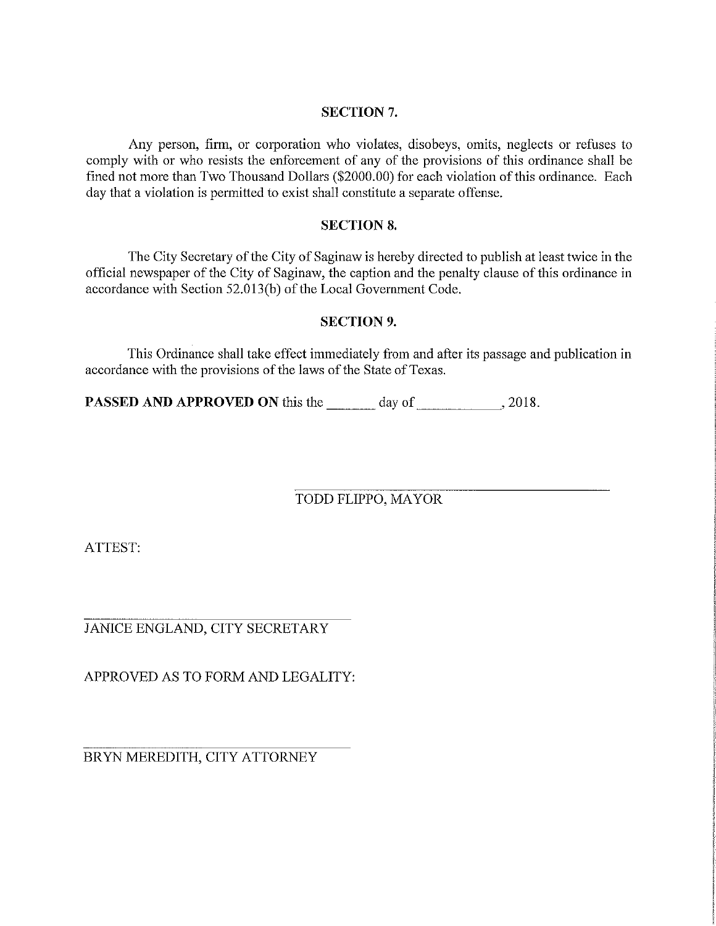#### **SECTION 7.**

Any person, firm, or corporation who violates, disobeys, omits, neglects or refuses to comply with or who resists the enforcement of any of the provisions of this ordinance shall be fined not more than Two Thousand Dollars (\$2000.00) for each violation of this ordinance. Each day that a violation is permitted to exist shall constitute a separate offense.

#### **SECTION 8.**

The City Secretary of the City of Saginaw is hereby directed to publish at least twice in the official newspaper of the City of Saginaw, the caption and the penalty clause of this ordinance in accordance with Section 52.013(b) of the Local Government Code.

### **SECTION 9.**

This Ordinance shall take effect immediately from and after its passage and publication in accordance with the provisions of the laws of the State of Texas.

**PASSED AND APPROVED ON** this the day of , 2018.

# TODD FLIPPO, MAYOR

ATTEST:

JANICE ENGLAND, CITY SECRETARY

APPROVED AS TO FORM AND LEGALITY:

BRYN MEREDITH, CITY ATTORNEY